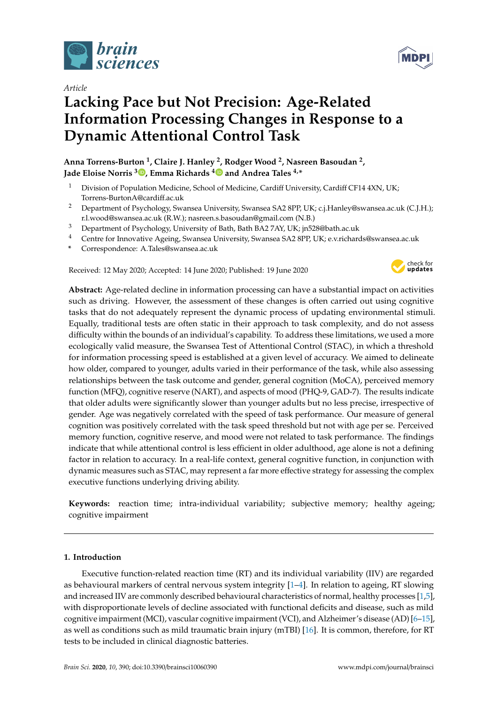

*Article*

# **Lacking Pace but Not Precision: Age-Related Information Processing Changes in Response to a Dynamic Attentional Control Task**

**Anna Torrens-Burton <sup>1</sup> , Claire J. Hanley <sup>2</sup> , Rodger Wood <sup>2</sup> , Nasreen Basoudan <sup>2</sup> , Jade Eloise Norris <sup>3</sup> [,](https://orcid.org/0000-0002-5096-2692) Emma Richards [4](https://orcid.org/0000-0002-1063-2576) and Andrea Tales 4,\***

- <sup>1</sup> Division of Population Medicine, School of Medicine, Cardiff University, Cardiff CF14 4XN, UK; Torrens-BurtonA@cardiff.ac.uk
- <sup>2</sup> Department of Psychology, Swansea University, Swansea SA2 8PP, UK; c.j.Hanley@swansea.ac.uk (C.J.H.); r.l.wood@swansea.ac.uk (R.W.); nasreen.s.basoudan@gmail.com (N.B.)
- <sup>3</sup> Department of Psychology, University of Bath, Bath BA2 7AY, UK; jn528@bath.ac.uk
- <sup>4</sup> Centre for Innovative Ageing, Swansea University, Swansea SA2 8PP, UK; e.v.richards@swansea.ac.uk
- **\*** Correspondence: A.Tales@swansea.ac.uk

Received: 12 May 2020; Accepted: 14 June 2020; Published: 19 June 2020



**Abstract:** Age-related decline in information processing can have a substantial impact on activities such as driving. However, the assessment of these changes is often carried out using cognitive tasks that do not adequately represent the dynamic process of updating environmental stimuli. Equally, traditional tests are often static in their approach to task complexity, and do not assess difficulty within the bounds of an individual's capability. To address these limitations, we used a more ecologically valid measure, the Swansea Test of Attentional Control (STAC), in which a threshold for information processing speed is established at a given level of accuracy. We aimed to delineate how older, compared to younger, adults varied in their performance of the task, while also assessing relationships between the task outcome and gender, general cognition (MoCA), perceived memory function (MFQ), cognitive reserve (NART), and aspects of mood (PHQ-9, GAD-7). The results indicate that older adults were significantly slower than younger adults but no less precise, irrespective of gender. Age was negatively correlated with the speed of task performance. Our measure of general cognition was positively correlated with the task speed threshold but not with age per se. Perceived memory function, cognitive reserve, and mood were not related to task performance. The findings indicate that while attentional control is less efficient in older adulthood, age alone is not a defining factor in relation to accuracy. In a real-life context, general cognitive function, in conjunction with dynamic measures such as STAC, may represent a far more effective strategy for assessing the complex executive functions underlying driving ability.

Keywords: reaction time; intra-individual variability; subjective memory; healthy ageing; cognitive impairment

## **1. Introduction**

Executive function-related reaction time (RT) and its individual variability (IIV) are regarded as behavioural markers of central nervous system integrity [\[1](#page-8-0)[–4\]](#page-8-1). In relation to ageing, RT slowing and increased IIV are commonly described behavioural characteristics of normal, healthy processes [\[1](#page-8-0)[,5\]](#page-8-2), with disproportionate levels of decline associated with functional deficits and disease, such as mild cognitive impairment (MCI), vascular cognitive impairment (VCI), and Alzheimer's disease (AD) [\[6](#page-8-3)[–15\]](#page-8-4), as well as conditions such as mild traumatic brain injury (mTBI) [\[16\]](#page-9-0). It is common, therefore, for RT tests to be included in clinical diagnostic batteries.

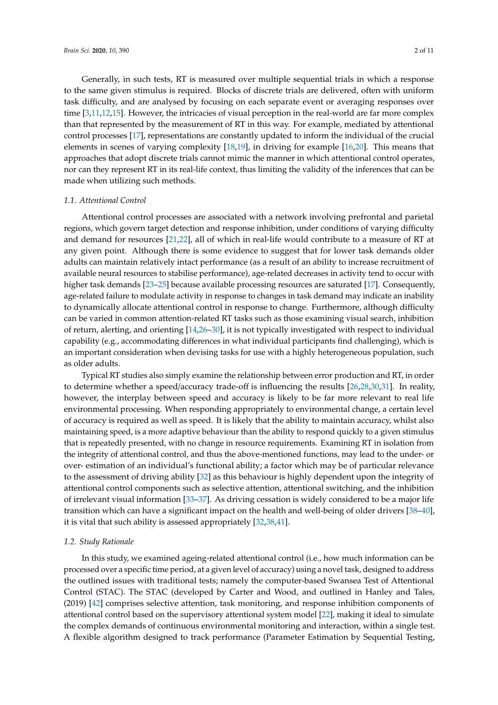Generally, in such tests, RT is measured over multiple sequential trials in which a response to the same given stimulus is required. Blocks of discrete trials are delivered, often with uniform task difficulty, and are analysed by focusing on each separate event or averaging responses over time [\[3](#page-8-5)[,11](#page-8-6)[,12,](#page-8-7)[15\]](#page-8-4). However, the intricacies of visual perception in the real-world are far more complex than that represented by the measurement of RT in this way. For example, mediated by attentional control processes [\[17\]](#page-9-1), representations are constantly updated to inform the individual of the crucial elements in scenes of varying complexity [\[18](#page-9-2)[,19\]](#page-9-3), in driving for example [\[16,](#page-9-0)[20\]](#page-9-4). This means that approaches that adopt discrete trials cannot mimic the manner in which attentional control operates, nor can they represent RT in its real-life context, thus limiting the validity of the inferences that can be made when utilizing such methods.

#### *1.1. Attentional Control*

Attentional control processes are associated with a network involving prefrontal and parietal regions, which govern target detection and response inhibition, under conditions of varying difficulty and demand for resources [\[21](#page-9-5)[,22\]](#page-9-6), all of which in real-life would contribute to a measure of RT at any given point. Although there is some evidence to suggest that for lower task demands older adults can maintain relatively intact performance (as a result of an ability to increase recruitment of available neural resources to stabilise performance), age-related decreases in activity tend to occur with higher task demands [\[23–](#page-9-7)[25\]](#page-9-8) because available processing resources are saturated [\[17\]](#page-9-1). Consequently, age-related failure to modulate activity in response to changes in task demand may indicate an inability to dynamically allocate attentional control in response to change. Furthermore, although difficulty can be varied in common attention-related RT tasks such as those examining visual search, inhibition of return, alerting, and orienting [\[14](#page-8-8)[,26–](#page-9-9)[30\]](#page-9-10), it is not typically investigated with respect to individual capability (e.g., accommodating differences in what individual participants find challenging), which is an important consideration when devising tasks for use with a highly heterogeneous population, such as older adults.

Typical RT studies also simply examine the relationship between error production and RT, in order to determine whether a speed/accuracy trade-off is influencing the results [\[26](#page-9-9)[,28](#page-9-11)[,30](#page-9-10)[,31\]](#page-9-12). In reality, however, the interplay between speed and accuracy is likely to be far more relevant to real life environmental processing. When responding appropriately to environmental change, a certain level of accuracy is required as well as speed. It is likely that the ability to maintain accuracy, whilst also maintaining speed, is a more adaptive behaviour than the ability to respond quickly to a given stimulus that is repeatedly presented, with no change in resource requirements. Examining RT in isolation from the integrity of attentional control, and thus the above-mentioned functions, may lead to the under- or over- estimation of an individual's functional ability; a factor which may be of particular relevance to the assessment of driving ability [\[32\]](#page-9-13) as this behaviour is highly dependent upon the integrity of attentional control components such as selective attention, attentional switching, and the inhibition of irrelevant visual information [\[33](#page-9-14)[–37\]](#page-9-15). As driving cessation is widely considered to be a major life transition which can have a significant impact on the health and well-being of older drivers [\[38](#page-9-16)[–40\]](#page-10-0), it is vital that such ability is assessed appropriately [\[32](#page-9-13)[,38](#page-9-16)[,41\]](#page-10-1).

#### *1.2. Study Rationale*

In this study, we examined ageing-related attentional control (i.e., how much information can be processed over a specific time period, at a given level of accuracy) using a novel task, designed to address the outlined issues with traditional tests; namely the computer-based Swansea Test of Attentional Control (STAC). The STAC (developed by Carter and Wood, and outlined in Hanley and Tales, (2019) [\[42\]](#page-10-2) comprises selective attention, task monitoring, and response inhibition components of attentional control based on the supervisory attentional system model [\[22\]](#page-9-6), making it ideal to simulate the complex demands of continuous environmental monitoring and interaction, within a single test. A flexible algorithm designed to track performance (Parameter Estimation by Sequential Testing,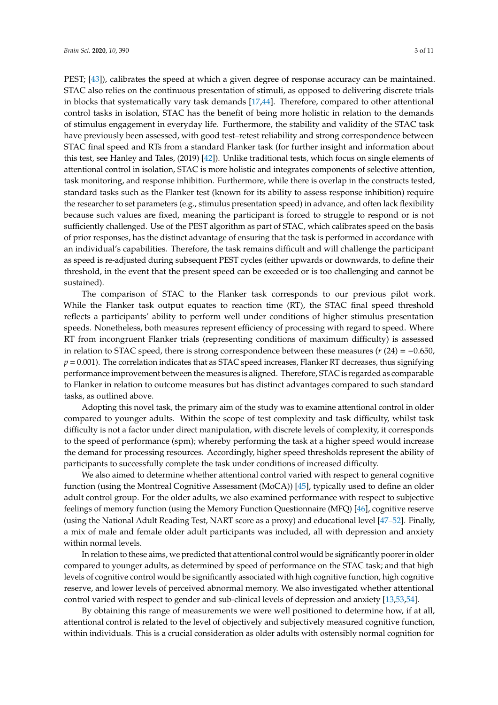PEST; [\[43\]](#page-10-3)), calibrates the speed at which a given degree of response accuracy can be maintained. STAC also relies on the continuous presentation of stimuli, as opposed to delivering discrete trials in blocks that systematically vary task demands [\[17](#page-9-1)[,44\]](#page-10-4). Therefore, compared to other attentional control tasks in isolation, STAC has the benefit of being more holistic in relation to the demands of stimulus engagement in everyday life. Furthermore, the stability and validity of the STAC task have previously been assessed, with good test–retest reliability and strong correspondence between STAC final speed and RTs from a standard Flanker task (for further insight and information about this test, see Hanley and Tales, (2019) [\[42\]](#page-10-2)). Unlike traditional tests, which focus on single elements of attentional control in isolation, STAC is more holistic and integrates components of selective attention, task monitoring, and response inhibition. Furthermore, while there is overlap in the constructs tested, standard tasks such as the Flanker test (known for its ability to assess response inhibition) require the researcher to set parameters (e.g., stimulus presentation speed) in advance, and often lack flexibility because such values are fixed, meaning the participant is forced to struggle to respond or is not sufficiently challenged. Use of the PEST algorithm as part of STAC, which calibrates speed on the basis of prior responses, has the distinct advantage of ensuring that the task is performed in accordance with an individual's capabilities. Therefore, the task remains difficult and will challenge the participant as speed is re-adjusted during subsequent PEST cycles (either upwards or downwards, to define their threshold, in the event that the present speed can be exceeded or is too challenging and cannot be sustained).

The comparison of STAC to the Flanker task corresponds to our previous pilot work. While the Flanker task output equates to reaction time (RT), the STAC final speed threshold reflects a participants' ability to perform well under conditions of higher stimulus presentation speeds. Nonetheless, both measures represent efficiency of processing with regard to speed. Where RT from incongruent Flanker trials (representing conditions of maximum difficulty) is assessed in relation to STAC speed, there is strong correspondence between these measures (*r* (24) = −0.650,  $p = 0.001$ ). The correlation indicates that as STAC speed increases, Flanker RT decreases, thus signifying performance improvement between the measures is aligned. Therefore, STAC is regarded as comparable to Flanker in relation to outcome measures but has distinct advantages compared to such standard tasks, as outlined above.

Adopting this novel task, the primary aim of the study was to examine attentional control in older compared to younger adults. Within the scope of test complexity and task difficulty, whilst task difficulty is not a factor under direct manipulation, with discrete levels of complexity, it corresponds to the speed of performance (spm); whereby performing the task at a higher speed would increase the demand for processing resources. Accordingly, higher speed thresholds represent the ability of participants to successfully complete the task under conditions of increased difficulty.

We also aimed to determine whether attentional control varied with respect to general cognitive function (using the Montreal Cognitive Assessment (MoCA)) [\[45\]](#page-10-5), typically used to define an older adult control group. For the older adults, we also examined performance with respect to subjective feelings of memory function (using the Memory Function Questionnaire (MFQ) [\[46\]](#page-10-6), cognitive reserve (using the National Adult Reading Test, NART score as a proxy) and educational level [\[47](#page-10-7)[–52\]](#page-10-8). Finally, a mix of male and female older adult participants was included, all with depression and anxiety within normal levels.

In relation to these aims, we predicted that attentional control would be significantly poorer in older compared to younger adults, as determined by speed of performance on the STAC task; and that high levels of cognitive control would be significantly associated with high cognitive function, high cognitive reserve, and lower levels of perceived abnormal memory. We also investigated whether attentional control varied with respect to gender and sub-clinical levels of depression and anxiety [\[13](#page-8-9)[,53](#page-10-9)[,54\]](#page-10-10).

By obtaining this range of measurements we were well positioned to determine how, if at all, attentional control is related to the level of objectively and subjectively measured cognitive function, within individuals. This is a crucial consideration as older adults with ostensibly normal cognition for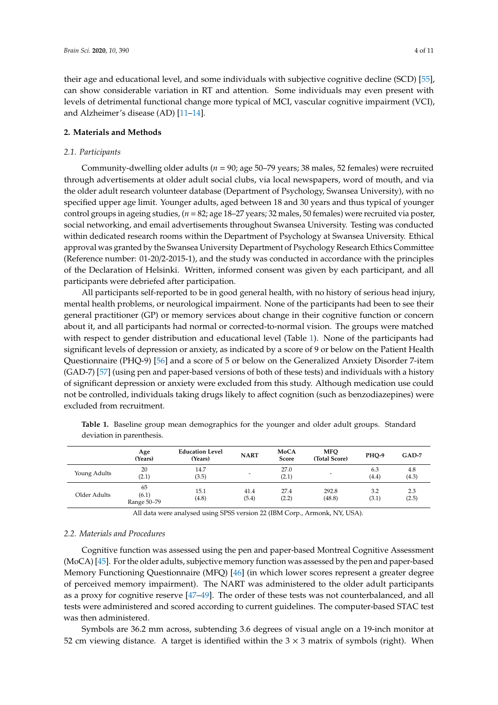their age and educational level, and some individuals with subjective cognitive decline (SCD) [\[55\]](#page-10-11), can show considerable variation in RT and attention. Some individuals may even present with levels of detrimental functional change more typical of MCI, vascular cognitive impairment (VCI), and Alzheimer's disease (AD) [\[11](#page-8-6)[–14\]](#page-8-8).

## **2. Materials and Methods**

#### *2.1. Participants*

Community-dwelling older adults (*n* = 90; age 50–79 years; 38 males, 52 females) were recruited through advertisements at older adult social clubs, via local newspapers, word of mouth, and via the older adult research volunteer database (Department of Psychology, Swansea University), with no specified upper age limit. Younger adults, aged between 18 and 30 years and thus typical of younger control groups in ageing studies, (*n* = 82; age 18–27 years; 32 males, 50 females) were recruited via poster, social networking, and email advertisements throughout Swansea University. Testing was conducted within dedicated research rooms within the Department of Psychology at Swansea University. Ethical approval was granted by the Swansea University Department of Psychology Research Ethics Committee (Reference number: 01-20/2-2015-1), and the study was conducted in accordance with the principles of the Declaration of Helsinki. Written, informed consent was given by each participant, and all participants were debriefed after participation.

All participants self-reported to be in good general health, with no history of serious head injury, mental health problems, or neurological impairment. None of the participants had been to see their general practitioner (GP) or memory services about change in their cognitive function or concern about it, and all participants had normal or corrected-to-normal vision. The groups were matched with respect to gender distribution and educational level (Table [1\)](#page-3-0). None of the participants had significant levels of depression or anxiety, as indicated by a score of 9 or below on the Patient Health Questionnaire (PHQ-9) [\[56\]](#page-10-12) and a score of 5 or below on the Generalized Anxiety Disorder 7-item (GAD-7) [\[57\]](#page-10-13) (using pen and paper-based versions of both of these tests) and individuals with a history of significant depression or anxiety were excluded from this study. Although medication use could not be controlled, individuals taking drugs likely to affect cognition (such as benzodiazepines) were excluded from recruitment.

|              | Age<br>(Years)             | <b>Education Level</b><br>(Years) | <b>NART</b>   | MoCA<br>Score | <b>MFO</b><br>(Total Score) | PHO-9        | $GAD-7$      |
|--------------|----------------------------|-----------------------------------|---------------|---------------|-----------------------------|--------------|--------------|
| Young Adults | 20<br>(2.1)                | 14.7<br>(3.5)                     | ۰             | 27.0<br>(2.1) | ۰                           | 6.3<br>(4.4) | 4.8<br>(4.3) |
| Older Adults | 65<br>(6.1)<br>Range 50–79 | 15.1<br>(4.8)                     | 41.4<br>(5.4) | 27.4<br>(2.2) | 292.8<br>(48.8)             | 3.2<br>(3.1) | 2.3<br>(2.5) |

<span id="page-3-0"></span>**Table 1.** Baseline group mean demographics for the younger and older adult groups. Standard deviation in parenthesis.

All data were analysed using SPSS version 22 (IBM Corp., Armonk, NY, USA).

#### *2.2. Materials and Procedures*

Cognitive function was assessed using the pen and paper-based Montreal Cognitive Assessment (MoCA) [\[45\]](#page-10-5). For the older adults, subjective memory function was assessed by the pen and paper-based Memory Functioning Questionnaire (MFQ) [\[46\]](#page-10-6) (in which lower scores represent a greater degree of perceived memory impairment). The NART was administered to the older adult participants as a proxy for cognitive reserve [\[47](#page-10-7)[–49\]](#page-10-14). The order of these tests was not counterbalanced, and all tests were administered and scored according to current guidelines. The computer-based STAC test was then administered.

Symbols are 36.2 mm across, subtending 3.6 degrees of visual angle on a 19-inch monitor at 52 cm viewing distance. A target is identified within the  $3 \times 3$  matrix of symbols (right). When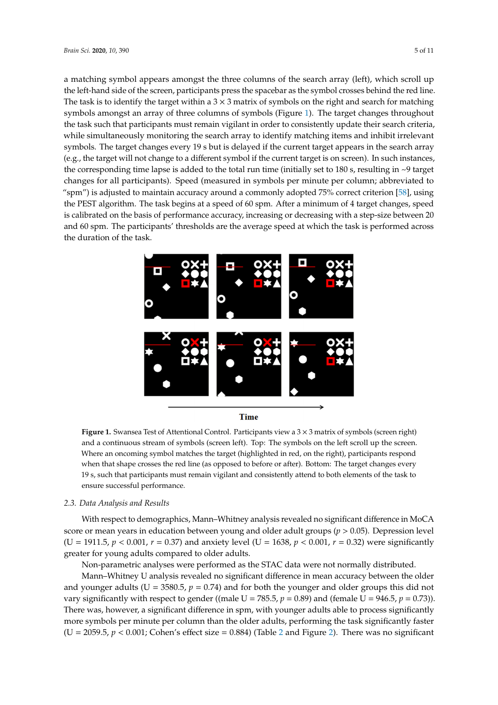a matching symbol appears amongst the three columns of the search array (left), which scroll up the left-hand side of the screen, participants press the spacebar as the symbol crosses behind the red line. The task is to identify the target within a  $3 \times 3$  matrix of symbols on the right and search for matching symbols amongst an array of three columns of symbols (Figure [1\)](#page-4-0). The target changes throughout the task such that participants must remain vigilant in order to consistently update their search criteria, while simultaneously monitoring the search array to identify matching items and inhibit irrelevant symbols. The target changes every 19 s but is delayed if the current target appears in the search array symbols. The target changes every 19 s but is delayed if the current target appears in the search array (e.g., the target will not change to a different symbol if the current target is on screen). In such instances, (e.g., the target will not change to a different symbol if the current target is on screen). In such the corresponding time lapse is added to the total run time (initially set to 180 s, resulting in  $\sim$ 9 target changes for all participants). Speed (measured in symbols per minute per column; abbreviated to "spm") is adjusted to maintain accuracy around a commonly adopted 75% correct criterion [\[58\]](#page-10-15), using the PEST algorithm. The task begins at a speed of 60 spm. After a minimum of 4 target changes, speed is calibrated on the basis of performance accuracy, increasing or decreasing with a step-size between 20 and 60 spm. The participants' thresholds are the average speed at which the task is performed across the duration of the task.

<span id="page-4-0"></span>

**Time** 

Figure 1. Swansea Test of Attentional Control. Participants view a  $3 \times 3$  matrix of symbols (screen right) and a continuous stream of symbols (screen left). Top: The symbols on the left scroll up the screen.<br>And a continuous stream of symbols (screen left). Top: The symbols on the left scroll up the screen. where an oncoming symbol matches the target (highlighted in red, on the right), participants respond when that shape crosses the red line (as opposed to before or after). Bottom: The target changes every 19 s, such that participants must remain vigilant and consistently attend to both elements of the task to 19 s, ensure successful performance. Where an oncoming symbol matches the target (highlighted in red, on the right), participants respond

#### *2.3. Data Analysis and Results*

*2.3. Data Analysis and Results* score or mean years in education between young and older adult groups (*p* > 0.05). Depression level (U = 1911.5,  $p < 0.001$ ,  $r = 0.37$ ) and anxiety level (U = 1638,  $p < 0.001$ ,  $r = 0.32$ ) were significantly greater for young adults compared to older adults. With respect to demographics, Mann–Whitney analysis revealed no significant difference in MoCA

Non-parametric analyses were performed as the STAC data were not normally distributed.

Mann–Whitney U analysis revealed no significant difference in mean accuracy between the older and younger adults (U = 3580.5,  $p = 0.74$ ) and for both the younger and older groups this did not vary significantly with respect to gender ((male U = 785.5,  $p = 0.89$ ) and (female U = 946.5,  $p = 0.73$ )). There was, however, a significant difference in spm, with younger adults able to process significantly more symbols per minute per column than the older adults, performing the task significantly faster (U = 2059.5,  $p < 0.001$ ; Cohen's effect size = 0.884) (Table 2 and Figure [2\)](#page-5-1). There was no significant

significantly faster (U = 2059.5, *p* < 0.001; Cohen's effect size = 0.884) (Table 2 and Figure 2). There was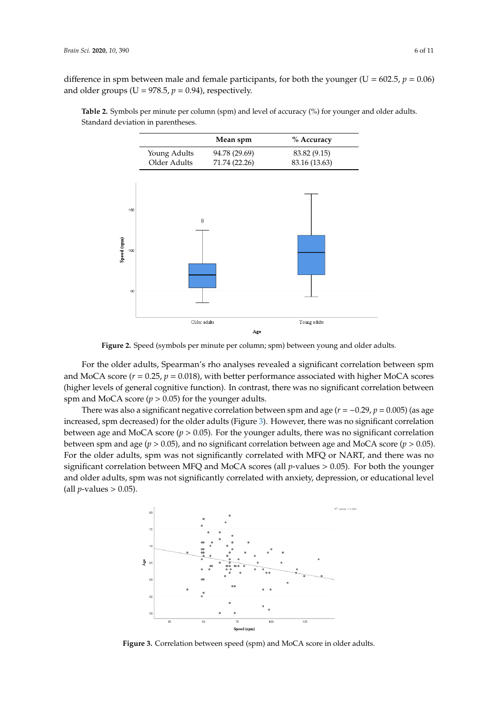difference in spm between male and female participants, for both the younger ( $U = 602.5$ ,  $p = 0.06$ ) and older groups (U = 978.5,  $p = 0.94$ ), respectively.



<span id="page-5-1"></span><span id="page-5-0"></span>**Table 2.** Symbols per minute per column (spm) and level of accuracy (%) for younger and older adults. **Table 2.** Symbols per minute per column (spm) and level of accuracy (%) for younger and older Standard deviation in parentheses.

**Figure 2.** Speed (symbols per minute per column; spm) between young and older adults. **Figure 2.** Speed (symbols per minute per column; spm) between young and older adults.

For the older adults, Spearman's rho analyses revealed a significant correlation between spm For the older adults, Spearman's rho analyses revealed a significant correlation between spm and MoCA score (*r* = 0.25, *p* = 0.018), with better performance associated with higher MoCA scores (higher levels of general cognitive function). In contrast, there was no significant correlation between (higher levels of general cognitive function). In contrast, there was no significant correlation between spm and MoCA score ( $p > 0.05$ ) for the younger adults.

There was also a significant negative correlation between spm and age ( $r = -0.29$ ,  $p = 0.005$ ) (as age increased, spm decreased) for the older adults (Figure [3\)](#page-5-2). However, there was no significant correlation between age and MoCA score (*p* > 0.05). For the younger adults, there was no significant correlation between spm and age ( $p > 0.05$ ), and no significant correlation between age and MoCA score ( $p > 0.05$ ). score (*p* > 0.05). For the older adults, spm was not significantly correlated with MFQ or NART, and For the older adults, spm was not significantly correlated with MFQ or NART, and there was no<br>
For the older adults, spm was not significantly correlated with MFQ or NART, and there was no significant correlation between MFQ and MoCA scores (all *p*-values > 0.05). For both the younger and older adults, spm was not significantly correlated with anxiety, depression, or educational level (all *Brain Sci. p*-values > 0.05). **2020**, **2020**, **2020**, **2020**, **2020**, **2020**, **2020**, **2020**, **2020**, **2020**, **2020**, **2020**, **2020**, **2020**, **2020**, **2020**, **2020**, **2020**, **2020**, **2020**, **2020**, **2020**, **2020**, **2020**, **2020**, **2020**, **2020**, **2020** 

<span id="page-5-2"></span>

**Figure 3.** Correlation between speed (spm) and MoCA score in older adults. **Figure 3.** Correlation between speed (spm) and MoCA score in older adults.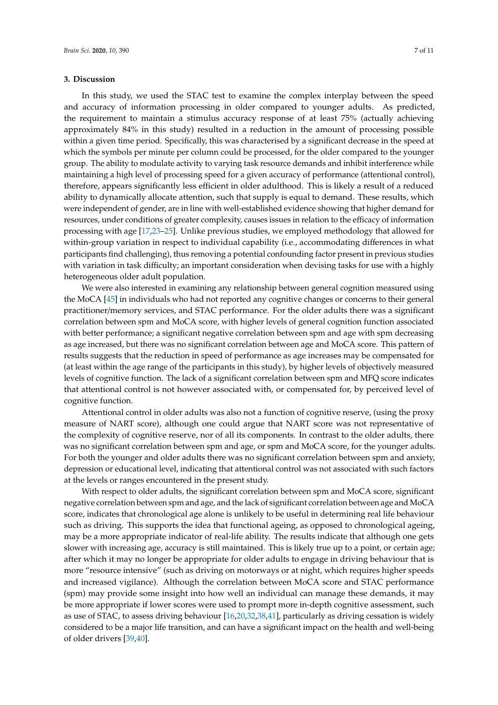#### **3. Discussion**

In this study, we used the STAC test to examine the complex interplay between the speed and accuracy of information processing in older compared to younger adults. As predicted, the requirement to maintain a stimulus accuracy response of at least 75% (actually achieving approximately 84% in this study) resulted in a reduction in the amount of processing possible within a given time period. Specifically, this was characterised by a significant decrease in the speed at which the symbols per minute per column could be processed, for the older compared to the younger group. The ability to modulate activity to varying task resource demands and inhibit interference while maintaining a high level of processing speed for a given accuracy of performance (attentional control), therefore, appears significantly less efficient in older adulthood. This is likely a result of a reduced ability to dynamically allocate attention, such that supply is equal to demand. These results, which were independent of gender, are in line with well-established evidence showing that higher demand for resources, under conditions of greater complexity, causes issues in relation to the efficacy of information processing with age [\[17](#page-9-1)[,23–](#page-9-7)[25\]](#page-9-8). Unlike previous studies, we employed methodology that allowed for within-group variation in respect to individual capability (i.e., accommodating differences in what participants find challenging), thus removing a potential confounding factor present in previous studies with variation in task difficulty; an important consideration when devising tasks for use with a highly heterogeneous older adult population.

We were also interested in examining any relationship between general cognition measured using the MoCA [\[45\]](#page-10-5) in individuals who had not reported any cognitive changes or concerns to their general practitioner/memory services, and STAC performance. For the older adults there was a significant correlation between spm and MoCA score, with higher levels of general cognition function associated with better performance; a significant negative correlation between spm and age with spm decreasing as age increased, but there was no significant correlation between age and MoCA score. This pattern of results suggests that the reduction in speed of performance as age increases may be compensated for (at least within the age range of the participants in this study), by higher levels of objectively measured levels of cognitive function. The lack of a significant correlation between spm and MFQ score indicates that attentional control is not however associated with, or compensated for, by perceived level of cognitive function.

Attentional control in older adults was also not a function of cognitive reserve, (using the proxy measure of NART score), although one could argue that NART score was not representative of the complexity of cognitive reserve, nor of all its components. In contrast to the older adults, there was no significant correlation between spm and age, or spm and MoCA score, for the younger adults. For both the younger and older adults there was no significant correlation between spm and anxiety, depression or educational level, indicating that attentional control was not associated with such factors at the levels or ranges encountered in the present study.

With respect to older adults, the significant correlation between spm and MoCA score, significant negative correlation between spm and age, and the lack of significant correlation between age and MoCA score, indicates that chronological age alone is unlikely to be useful in determining real life behaviour such as driving. This supports the idea that functional ageing, as opposed to chronological ageing, may be a more appropriate indicator of real-life ability. The results indicate that although one gets slower with increasing age, accuracy is still maintained. This is likely true up to a point, or certain age; after which it may no longer be appropriate for older adults to engage in driving behaviour that is more "resource intensive" (such as driving on motorways or at night, which requires higher speeds and increased vigilance). Although the correlation between MoCA score and STAC performance (spm) may provide some insight into how well an individual can manage these demands, it may be more appropriate if lower scores were used to prompt more in-depth cognitive assessment, such as use of STAC, to assess driving behaviour [\[16,](#page-9-0)[20](#page-9-4)[,32](#page-9-13)[,38,](#page-9-16)[41\]](#page-10-1), particularly as driving cessation is widely considered to be a major life transition, and can have a significant impact on the health and well-being of older drivers [\[39,](#page-9-17)[40\]](#page-10-0).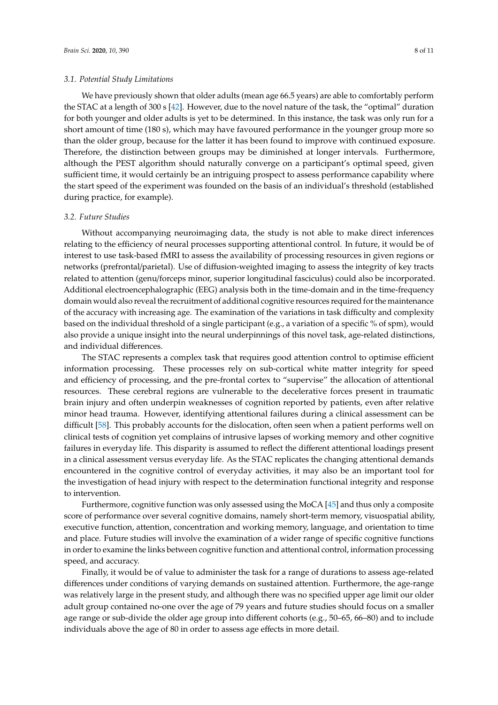We have previously shown that older adults (mean age 66.5 years) are able to comfortably perform the STAC at a length of 300 s [\[42\]](#page-10-2). However, due to the novel nature of the task, the "optimal" duration for both younger and older adults is yet to be determined. In this instance, the task was only run for a short amount of time (180 s), which may have favoured performance in the younger group more so than the older group, because for the latter it has been found to improve with continued exposure. Therefore, the distinction between groups may be diminished at longer intervals. Furthermore, although the PEST algorithm should naturally converge on a participant's optimal speed, given sufficient time, it would certainly be an intriguing prospect to assess performance capability where the start speed of the experiment was founded on the basis of an individual's threshold (established during practice, for example).

## *3.2. Future Studies*

Without accompanying neuroimaging data, the study is not able to make direct inferences relating to the efficiency of neural processes supporting attentional control. In future, it would be of interest to use task-based fMRI to assess the availability of processing resources in given regions or networks (prefrontal/parietal). Use of diffusion-weighted imaging to assess the integrity of key tracts related to attention (genu/forceps minor, superior longitudinal fasciculus) could also be incorporated. Additional electroencephalographic (EEG) analysis both in the time-domain and in the time-frequency domain would also reveal the recruitment of additional cognitive resources required for the maintenance of the accuracy with increasing age. The examination of the variations in task difficulty and complexity based on the individual threshold of a single participant (e.g., a variation of a specific % of spm), would also provide a unique insight into the neural underpinnings of this novel task, age-related distinctions, and individual differences.

The STAC represents a complex task that requires good attention control to optimise efficient information processing. These processes rely on sub-cortical white matter integrity for speed and efficiency of processing, and the pre-frontal cortex to "supervise" the allocation of attentional resources. These cerebral regions are vulnerable to the decelerative forces present in traumatic brain injury and often underpin weaknesses of cognition reported by patients, even after relative minor head trauma. However, identifying attentional failures during a clinical assessment can be difficult [\[58\]](#page-10-15). This probably accounts for the dislocation, often seen when a patient performs well on clinical tests of cognition yet complains of intrusive lapses of working memory and other cognitive failures in everyday life. This disparity is assumed to reflect the different attentional loadings present in a clinical assessment versus everyday life. As the STAC replicates the changing attentional demands encountered in the cognitive control of everyday activities, it may also be an important tool for the investigation of head injury with respect to the determination functional integrity and response to intervention.

Furthermore, cognitive function was only assessed using the MoCA [\[45\]](#page-10-5) and thus only a composite score of performance over several cognitive domains, namely short-term memory, visuospatial ability, executive function, attention, concentration and working memory, language, and orientation to time and place. Future studies will involve the examination of a wider range of specific cognitive functions in order to examine the links between cognitive function and attentional control, information processing speed, and accuracy.

Finally, it would be of value to administer the task for a range of durations to assess age-related differences under conditions of varying demands on sustained attention. Furthermore, the age-range was relatively large in the present study, and although there was no specified upper age limit our older adult group contained no-one over the age of 79 years and future studies should focus on a smaller age range or sub-divide the older age group into different cohorts (e.g., 50–65, 66–80) and to include individuals above the age of 80 in order to assess age effects in more detail.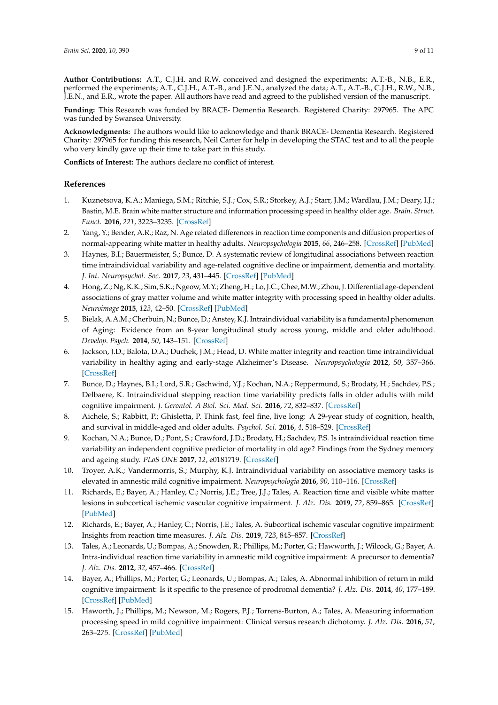**Author Contributions:** A.T., C.J.H. and R.W. conceived and designed the experiments; A.T.-B., N.B., E.R., performed the experiments; A.T., C.J.H., A.T.-B., and J.E.N., analyzed the data; A.T., A.T.-B., C.J.H., R.W., N.B., J.E.N., and E.R., wrote the paper. All authors have read and agreed to the published version of the manuscript.

**Funding:** This Research was funded by BRACE- Dementia Research. Registered Charity: 297965. The APC was funded by Swansea University.

**Acknowledgments:** The authors would like to acknowledge and thank BRACE- Dementia Research. Registered Charity: 297965 for funding this research, Neil Carter for help in developing the STAC test and to all the people who very kindly gave up their time to take part in this study.

**Conflicts of Interest:** The authors declare no conflict of interest.

#### **References**

- <span id="page-8-0"></span>1. Kuznetsova, K.A.; Maniega, S.M.; Ritchie, S.J.; Cox, S.R.; Storkey, A.J.; Starr, J.M.; Wardlau, J.M.; Deary, I.J.; Bastin, M.E. Brain white matter structure and information processing speed in healthy older age. *Brain. Struct. Funct.* **2016**, *221*, 3223–3235. [\[CrossRef\]](http://dx.doi.org/10.1007/s00429-015-1097-5)
- 2. Yang, Y.; Bender, A.R.; Raz, N. Age related differences in reaction time components and diffusion properties of normal-appearing white matter in healthy adults. *Neuropsychologia* **2015**, *66*, 246–258. [\[CrossRef\]](http://dx.doi.org/10.1016/j.neuropsychologia.2014.11.020) [\[PubMed\]](http://www.ncbi.nlm.nih.gov/pubmed/25460349)
- <span id="page-8-5"></span>3. Haynes, B.I.; Bauermeister, S.; Bunce, D. A systematic review of longitudinal associations between reaction time intraindividual variability and age-related cognitive decline or impairment, dementia and mortality. *J. Int. Neuropsychol. Soc.* **2017**, *23*, 431–445. [\[CrossRef\]](http://dx.doi.org/10.1017/S1355617717000236) [\[PubMed\]](http://www.ncbi.nlm.nih.gov/pubmed/28462758)
- <span id="page-8-1"></span>4. Hong, Z.; Ng, K.K.; Sim, S.K.; Ngeow,M.Y.; Zheng, H.; Lo, J.C.; Chee,M.W.; Zhou, J. Differential age-dependent associations of gray matter volume and white matter integrity with processing speed in healthy older adults. *Neuroimage* **2015**, *123*, 42–50. [\[CrossRef\]](http://dx.doi.org/10.1016/j.neuroimage.2015.08.034) [\[PubMed\]](http://www.ncbi.nlm.nih.gov/pubmed/26302672)
- <span id="page-8-2"></span>5. Bielak, A.A.M.; Cherbuin, N.; Bunce, D.; Anstey, K.J. Intraindividual variability is a fundamental phenomenon of Aging: Evidence from an 8-year longitudinal study across young, middle and older adulthood. *Develop. Psych.* **2014**, *50*, 143–151. [\[CrossRef\]](http://dx.doi.org/10.1037/a0032650)
- <span id="page-8-3"></span>6. Jackson, J.D.; Balota, D.A.; Duchek, J.M.; Head, D. White matter integrity and reaction time intraindividual variability in healthy aging and early-stage Alzheimer's Disease. *Neuropsychologia* **2012**, *50*, 357–366. [\[CrossRef\]](http://dx.doi.org/10.1016/j.neuropsychologia.2011.11.024)
- 7. Bunce, D.; Haynes, B.I.; Lord, S.R.; Gschwind, Y.J.; Kochan, N.A.; Reppermund, S.; Brodaty, H.; Sachdev, P.S.; Delbaere, K. Intraindividual stepping reaction time variability predicts falls in older adults with mild cognitive impairment. *J. Gerontol. A Biol. Sci. Med. Sci.* **2016**, *72*, 832–837. [\[CrossRef\]](http://dx.doi.org/10.1093/gerona/glw164)
- 8. Aichele, S.; Rabbitt, P.; Ghisletta, P. Think fast, feel fine, live long: A 29-year study of cognition, health, and survival in middle-aged and older adults. *Psychol. Sci.* **2016**, *4*, 518–529. [\[CrossRef\]](http://dx.doi.org/10.1177/0956797615626906)
- 9. Kochan, N.A.; Bunce, D.; Pont, S.; Crawford, J.D.; Brodaty, H.; Sachdev, P.S. Is intraindividual reaction time variability an independent cognitive predictor of mortality in old age? Findings from the Sydney memory and ageing study. *PLoS ONE* **2017**, *12*, e0181719. [\[CrossRef\]](http://dx.doi.org/10.1371/journal.pone.0181719)
- 10. Troyer, A.K.; Vandermorris, S.; Murphy, K.J. Intraindividual variability on associative memory tasks is elevated in amnestic mild cognitive impairment. *Neuropsychologia* **2016**, *90*, 110–116. [\[CrossRef\]](http://dx.doi.org/10.1016/j.neuropsychologia.2016.06.011)
- <span id="page-8-6"></span>11. Richards, E.; Bayer, A.; Hanley, C.; Norris, J.E.; Tree, J.J.; Tales, A. Reaction time and visible white matter lesions in subcortical ischemic vascular cognitive impairment. *J. Alz. Dis.* **2019**, *72*, 859–865. [\[CrossRef\]](http://dx.doi.org/10.3233/JAD-190823) [\[PubMed\]](http://www.ncbi.nlm.nih.gov/pubmed/31658059)
- <span id="page-8-7"></span>12. Richards, E.; Bayer, A.; Hanley, C.; Norris, J.E.; Tales, A. Subcortical ischemic vascular cognitive impairment: Insights from reaction time measures. *J. Alz. Dis.* **2019**, *723*, 845–857. [\[CrossRef\]](http://dx.doi.org/10.3233/JAD-190889)
- <span id="page-8-9"></span>13. Tales, A.; Leonards, U.; Bompas, A.; Snowden, R.; Phillips, M.; Porter, G.; Hawworth, J.; Wilcock, G.; Bayer, A. Intra-individual reaction time variability in amnestic mild cognitive impairment: A precursor to dementia? *J. Alz. Dis.* **2012**, *32*, 457–466. [\[CrossRef\]](http://dx.doi.org/10.3233/JAD-2012-120505)
- <span id="page-8-8"></span>14. Bayer, A.; Phillips, M.; Porter, G.; Leonards, U.; Bompas, A.; Tales, A. Abnormal inhibition of return in mild cognitive impairment: Is it specific to the presence of prodromal dementia? *J. Alz. Dis.* **2014**, *40*, 177–189. [\[CrossRef\]](http://dx.doi.org/10.3233/JAD-131934) [\[PubMed\]](http://www.ncbi.nlm.nih.gov/pubmed/24366922)
- <span id="page-8-4"></span>15. Haworth, J.; Phillips, M.; Newson, M.; Rogers, P.J.; Torrens-Burton, A.; Tales, A. Measuring information processing speed in mild cognitive impairment: Clinical versus research dichotomy. *J. Alz. Dis.* **2016**, *51*, 263–275. [\[CrossRef\]](http://dx.doi.org/10.3233/JAD-150791) [\[PubMed\]](http://www.ncbi.nlm.nih.gov/pubmed/26836171)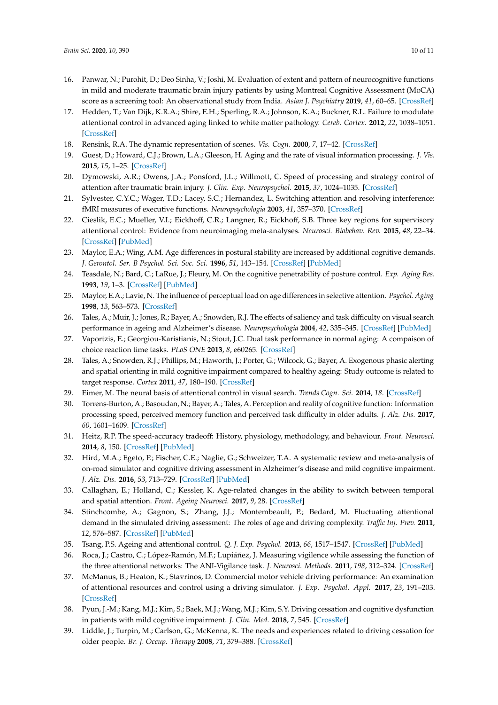- <span id="page-9-0"></span>16. Panwar, N.; Purohit, D.; Deo Sinha, V.; Joshi, M. Evaluation of extent and pattern of neurocognitive functions in mild and moderate traumatic brain injury patients by using Montreal Cognitive Assessment (MoCA) score as a screening tool: An observational study from India. *Asian J. Psychiatry* **2019**, *41*, 60–65. [\[CrossRef\]](http://dx.doi.org/10.1016/j.ajp.2018.08.007)
- <span id="page-9-1"></span>17. Hedden, T.; Van Dijk, K.R.A.; Shire, E.H.; Sperling, R.A.; Johnson, K.A.; Buckner, R.L. Failure to modulate attentional control in advanced aging linked to white matter pathology. *Cereb. Cortex.* **2012**, *22*, 1038–1051. [\[CrossRef\]](http://dx.doi.org/10.1093/cercor/bhr172)
- <span id="page-9-3"></span><span id="page-9-2"></span>18. Rensink, R.A. The dynamic representation of scenes. *Vis. Cogn.* **2000**, *7*, 17–42. [\[CrossRef\]](http://dx.doi.org/10.1080/135062800394667)
- 19. Guest, D.; Howard, C.J.; Brown, L.A.; Gleeson, H. Aging and the rate of visual information processing. *J. Vis.* **2015**, *15*, 1–25. [\[CrossRef\]](http://dx.doi.org/10.1167/15.14.10)
- <span id="page-9-4"></span>20. Dymowski, A.R.; Owens, J.A.; Ponsford, J.L.; Willmott, C. Speed of processing and strategy control of attention after traumatic brain injury. *J. Clin. Exp. Neuropsychol.* **2015**, *37*, 1024–1035. [\[CrossRef\]](http://dx.doi.org/10.1080/13803395.2015.1074663)
- <span id="page-9-5"></span>21. Sylvester, C.Y.C.; Wager, T.D.; Lacey, S.C.; Hernandez, L. Switching attention and resolving interference: fMRI measures of executive functions. *Neuropsychologia* **2003**, *41*, 357–370. [\[CrossRef\]](http://dx.doi.org/10.1016/S0028-3932(02)00167-7)
- <span id="page-9-6"></span>22. Cieslik, E.C.; Mueller, V.I.; Eickhoff, C.R.; Langner, R.; Eickhoff, S.B. Three key regions for supervisory attentional control: Evidence from neuroimaging meta-analyses. *Neurosci. Biobehav. Rev.* **2015**, *48*, 22–34. [\[CrossRef\]](http://dx.doi.org/10.1016/j.neubiorev.2014.11.003) [\[PubMed\]](http://www.ncbi.nlm.nih.gov/pubmed/25446951)
- <span id="page-9-7"></span>23. Maylor, E.A.; Wing, A.M. Age differences in postural stability are increased by additional cognitive demands. *J. Gerontol. Ser. B Psychol. Sci. Soc. Sci.* **1996**, *51*, 143–154. [\[CrossRef\]](http://dx.doi.org/10.1093/geronb/51B.3.P143) [\[PubMed\]](http://www.ncbi.nlm.nih.gov/pubmed/8620354)
- 24. Teasdale, N.; Bard, C.; LaRue, J.; Fleury, M. On the cognitive penetrability of posture control. *Exp. Aging Res.* **1993**, *19*, 1–3. [\[CrossRef\]](http://dx.doi.org/10.1080/03610739308253919) [\[PubMed\]](http://www.ncbi.nlm.nih.gov/pubmed/8444263)
- <span id="page-9-8"></span>25. Maylor, E.A.; Lavie, N. The influence of perceptual load on age differences in selective attention. *Psychol. Aging* **1998**, *13*, 563–573. [\[CrossRef\]](http://dx.doi.org/10.1037/0882-7974.13.4.563)
- <span id="page-9-9"></span>26. Tales, A.; Muir, J.; Jones, R.; Bayer, A.; Snowden, R.J. The effects of saliency and task difficulty on visual search performance in ageing and Alzheimer's disease. *Neuropsychologia* **2004**, *42*, 335–345. [\[CrossRef\]](http://dx.doi.org/10.1016/j.neuropsychologia.2003.08.002) [\[PubMed\]](http://www.ncbi.nlm.nih.gov/pubmed/14670572)
- 27. Vaportzis, E.; Georgiou-Karistianis, N.; Stout, J.C. Dual task performance in normal aging: A compaison of choice reaction time tasks. *PLoS ONE* **2013**, *8*, e60265. [\[CrossRef\]](http://dx.doi.org/10.1371/journal.pone.0060265)
- <span id="page-9-11"></span>28. Tales, A.; Snowden, R.J.; Phillips, M.; Haworth, J.; Porter, G.; Wilcock, G.; Bayer, A. Exogenous phasic alerting and spatial orienting in mild cognitive impairment compared to healthy ageing: Study outcome is related to target response. *Cortex* **2011**, *47*, 180–190. [\[CrossRef\]](http://dx.doi.org/10.1016/j.cortex.2009.09.007)
- 29. Eimer, M. The neural basis of attentional control in visual search. *Trends Cogn. Sci.* **2014**, *18*. [\[CrossRef\]](http://dx.doi.org/10.1016/j.tics.2014.05.005)
- <span id="page-9-10"></span>30. Torrens-Burton, A.; Basoudan, N.; Bayer, A.; Tales, A. Perception and reality of cognitive function: Information processing speed, perceived memory function and perceived task difficulty in older adults. *J. Alz. Dis.* **2017**, *60*, 1601–1609. [\[CrossRef\]](http://dx.doi.org/10.3233/JAD-170599)
- <span id="page-9-12"></span>31. Heitz, R.P. The speed-accuracy tradeoff: History, physiology, methodology, and behaviour. *Front. Neurosci.* **2014**, *8*, 150. [\[CrossRef\]](http://dx.doi.org/10.3389/fnins.2014.00150) [\[PubMed\]](http://www.ncbi.nlm.nih.gov/pubmed/24966810)
- <span id="page-9-13"></span>32. Hird, M.A.; Egeto, P.; Fischer, C.E.; Naglie, G.; Schweizer, T.A. A systematic review and meta-analysis of on-road simulator and cognitive driving assessment in Alzheimer's disease and mild cognitive impairment. *J. Alz. Dis.* **2016**, *53*, 713–729. [\[CrossRef\]](http://dx.doi.org/10.3233/JAD-160276) [\[PubMed\]](http://www.ncbi.nlm.nih.gov/pubmed/27176076)
- <span id="page-9-14"></span>33. Callaghan, E.; Holland, C.; Kessler, K. Age-related changes in the ability to switch between temporal and spatial attention. *Front. Ageing Neurosci.* **2017**, *9*, 28. [\[CrossRef\]](http://dx.doi.org/10.3389/fnagi.2017.00028)
- 34. Stinchcombe, A.; Gagnon, S.; Zhang, J.J.; Montembeault, P.; Bedard, M. Fluctuating attentional demand in the simulated driving assessment: The roles of age and driving complexity. *Tra*ffi*c Inj. Prev.* **2011**, *12*, 576–587. [\[CrossRef\]](http://dx.doi.org/10.1080/15389588.2011.607479) [\[PubMed\]](http://www.ncbi.nlm.nih.gov/pubmed/22133333)
- 35. Tsang, P.S. Ageing and attentional control. *Q. J. Exp. Psychol.* **2013**, *66*, 1517–1547. [\[CrossRef\]](http://dx.doi.org/10.1080/17470218.2012.752019) [\[PubMed\]](http://www.ncbi.nlm.nih.gov/pubmed/23281799)
- 36. Roca, J.; Castro, C.; López-Ramón, M.F.; Lupiáñez, J. Measuring vigilence while assessing the function of the three attentional networks: The ANI-Vigilance task. *J. Neurosci. Methods.* **2011**, *198*, 312–324. [\[CrossRef\]](http://dx.doi.org/10.1016/j.jneumeth.2011.04.014)
- <span id="page-9-15"></span>37. McManus, B.; Heaton, K.; Stavrinos, D. Commercial motor vehicle driving performance: An examination of attentional resources and control using a driving simulator. *J. Exp. Psychol. Appl.* **2017**, *23*, 191–203. [\[CrossRef\]](http://dx.doi.org/10.1037/xap0000120)
- <span id="page-9-16"></span>38. Pyun, J.-M.; Kang, M.J.; Kim, S.; Baek, M.J.; Wang, M.J.; Kim, S.Y. Driving cessation and cognitive dysfunction in patients with mild cognitive impairment. *J. Clin. Med.* **2018**, *7*, 545. [\[CrossRef\]](http://dx.doi.org/10.3390/jcm7120545)
- <span id="page-9-17"></span>39. Liddle, J.; Turpin, M.; Carlson, G.; McKenna, K. The needs and experiences related to driving cessation for older people. *Br. J. Occup. Therapy* **2008**, *71*, 379–388. [\[CrossRef\]](http://dx.doi.org/10.1177/030802260807100905)